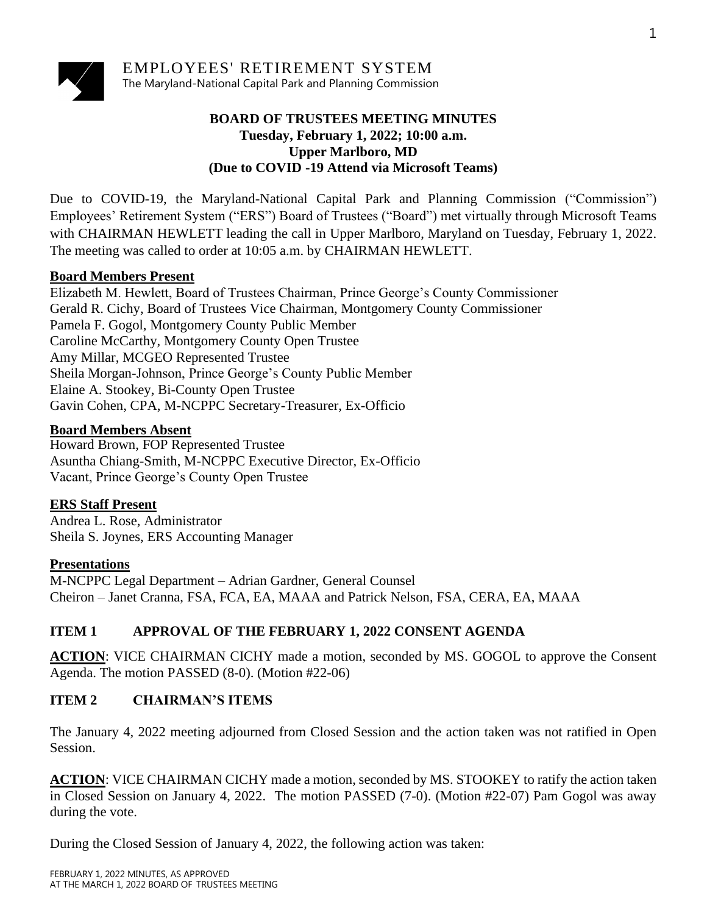

## **BOARD OF TRUSTEES MEETING MINUTES Tuesday, February 1, 2022; 10:00 a.m. Upper Marlboro, MD (Due to COVID -19 Attend via Microsoft Teams)**

Due to COVID-19, the Maryland-National Capital Park and Planning Commission ("Commission") Employees' Retirement System ("ERS") Board of Trustees ("Board") met virtually through Microsoft Teams with CHAIRMAN HEWLETT leading the call in Upper Marlboro, Maryland on Tuesday, February 1, 2022. The meeting was called to order at 10:05 a.m. by CHAIRMAN HEWLETT.

### **Board Members Present**

Elizabeth M. Hewlett, Board of Trustees Chairman, Prince George's County Commissioner Gerald R. Cichy, Board of Trustees Vice Chairman, Montgomery County Commissioner Pamela F. Gogol, Montgomery County Public Member Caroline McCarthy, Montgomery County Open Trustee Amy Millar, MCGEO Represented Trustee Sheila Morgan-Johnson, Prince George's County Public Member Elaine A. Stookey, Bi-County Open Trustee Gavin Cohen, CPA, M-NCPPC Secretary-Treasurer, Ex-Officio

### **Board Members Absent**

Howard Brown, FOP Represented Trustee Asuntha Chiang-Smith, M-NCPPC Executive Director, Ex-Officio Vacant, Prince George's County Open Trustee

### **ERS Staff Present**

Andrea L. Rose, Administrator Sheila S. Joynes, ERS Accounting Manager

### **Presentations**

M-NCPPC Legal Department – Adrian Gardner, General Counsel Cheiron – Janet Cranna, FSA, FCA, EA, MAAA and Patrick Nelson, FSA, CERA, EA, MAAA

## **ITEM 1 APPROVAL OF THE FEBRUARY 1, 2022 CONSENT AGENDA**

**ACTION:** VICE CHAIRMAN CICHY made a motion, seconded by MS. GOGOL to approve the Consent Agenda. The motion PASSED (8-0). (Motion #22-06)

### **ITEM 2 CHAIRMAN'S ITEMS**

The January 4, 2022 meeting adjourned from Closed Session and the action taken was not ratified in Open Session.

ACTION: VICE CHAIRMAN CICHY made a motion, seconded by MS. STOOKEY to ratify the action taken in Closed Session on January 4, 2022. The motion PASSED (7-0). (Motion #22-07) Pam Gogol was away during the vote.

During the Closed Session of January 4, 2022, the following action was taken: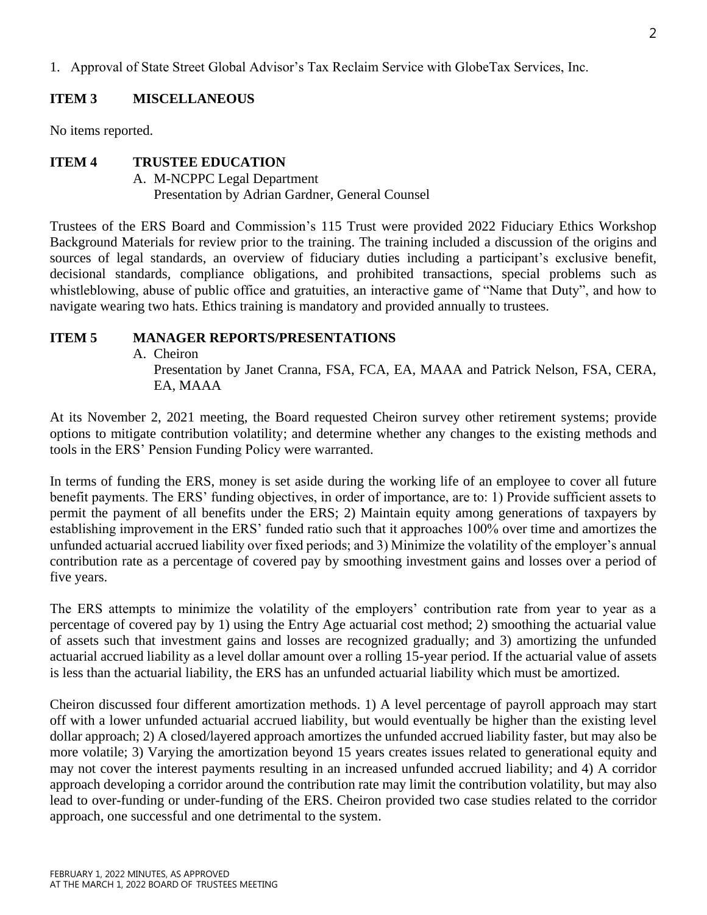1. Approval of State Street Global Advisor's Tax Reclaim Service with GlobeTax Services, Inc.

### **ITEM 3 MISCELLANEOUS**

No items reported.

#### **ITEM 4 TRUSTEE EDUCATION**

A. M-NCPPC Legal Department Presentation by Adrian Gardner, General Counsel

Trustees of the ERS Board and Commission's 115 Trust were provided 2022 Fiduciary Ethics Workshop Background Materials for review prior to the training. The training included a discussion of the origins and sources of legal standards, an overview of fiduciary duties including a participant's exclusive benefit, decisional standards, compliance obligations, and prohibited transactions, special problems such as whistleblowing, abuse of public office and gratuities, an interactive game of "Name that Duty", and how to navigate wearing two hats. Ethics training is mandatory and provided annually to trustees.

#### **ITEM 5 MANAGER REPORTS/PRESENTATIONS**

A. Cheiron

Presentation by Janet Cranna, FSA, FCA, EA, MAAA and Patrick Nelson, FSA, CERA, EA, MAAA

At its November 2, 2021 meeting, the Board requested Cheiron survey other retirement systems; provide options to mitigate contribution volatility; and determine whether any changes to the existing methods and tools in the ERS' Pension Funding Policy were warranted.

In terms of funding the ERS, money is set aside during the working life of an employee to cover all future benefit payments. The ERS' funding objectives, in order of importance, are to: 1) Provide sufficient assets to permit the payment of all benefits under the ERS; 2) Maintain equity among generations of taxpayers by establishing improvement in the ERS' funded ratio such that it approaches 100% over time and amortizes the unfunded actuarial accrued liability over fixed periods; and 3) Minimize the volatility of the employer's annual contribution rate as a percentage of covered pay by smoothing investment gains and losses over a period of five years.

The ERS attempts to minimize the volatility of the employers' contribution rate from year to year as a percentage of covered pay by 1) using the Entry Age actuarial cost method; 2) smoothing the actuarial value of assets such that investment gains and losses are recognized gradually; and 3) amortizing the unfunded actuarial accrued liability as a level dollar amount over a rolling 15-year period. If the actuarial value of assets is less than the actuarial liability, the ERS has an unfunded actuarial liability which must be amortized.

Cheiron discussed four different amortization methods. 1) A level percentage of payroll approach may start off with a lower unfunded actuarial accrued liability, but would eventually be higher than the existing level dollar approach; 2) A closed/layered approach amortizes the unfunded accrued liability faster, but may also be more volatile; 3) Varying the amortization beyond 15 years creates issues related to generational equity and may not cover the interest payments resulting in an increased unfunded accrued liability; and 4) A corridor approach developing a corridor around the contribution rate may limit the contribution volatility, but may also lead to over-funding or under-funding of the ERS. Cheiron provided two case studies related to the corridor approach, one successful and one detrimental to the system.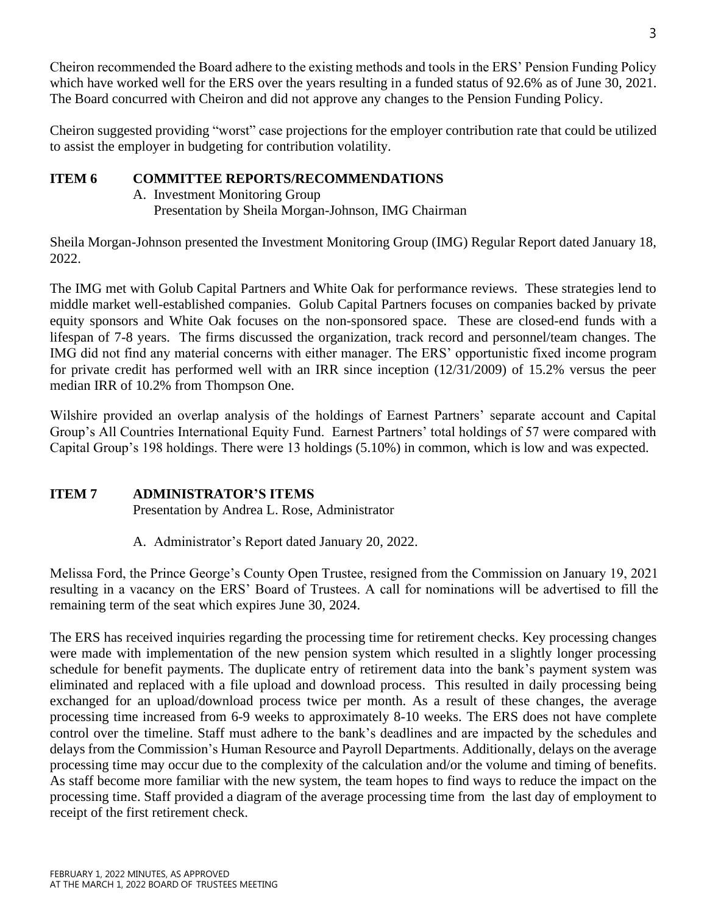Cheiron recommended the Board adhere to the existing methods and tools in the ERS' Pension Funding Policy which have worked well for the ERS over the years resulting in a funded status of 92.6% as of June 30, 2021. The Board concurred with Cheiron and did not approve any changes to the Pension Funding Policy.

Cheiron suggested providing "worst" case projections for the employer contribution rate that could be utilized to assist the employer in budgeting for contribution volatility.

# **ITEM 6 COMMITTEE REPORTS/RECOMMENDATIONS**

- A. Investment Monitoring Group
	- Presentation by Sheila Morgan-Johnson, IMG Chairman

Sheila Morgan-Johnson presented the Investment Monitoring Group (IMG) Regular Report dated January 18, 2022.

The IMG met with Golub Capital Partners and White Oak for performance reviews. These strategies lend to middle market well-established companies. Golub Capital Partners focuses on companies backed by private equity sponsors and White Oak focuses on the non-sponsored space. These are closed-end funds with a lifespan of 7-8 years. The firms discussed the organization, track record and personnel/team changes. The IMG did not find any material concerns with either manager. The ERS' opportunistic fixed income program for private credit has performed well with an IRR since inception (12/31/2009) of 15.2% versus the peer median IRR of 10.2% from Thompson One.

Wilshire provided an overlap analysis of the holdings of Earnest Partners' separate account and Capital Group's All Countries International Equity Fund. Earnest Partners' total holdings of 57 were compared with Capital Group's 198 holdings. There were 13 holdings (5.10%) in common, which is low and was expected.

# **ITEM 7 ADMINISTRATOR'S ITEMS**

Presentation by Andrea L. Rose, Administrator

A. Administrator's Report dated January 20, 2022.

Melissa Ford, the Prince George's County Open Trustee, resigned from the Commission on January 19, 2021 resulting in a vacancy on the ERS' Board of Trustees. A call for nominations will be advertised to fill the remaining term of the seat which expires June 30, 2024.

The ERS has received inquiries regarding the processing time for retirement checks. Key processing changes were made with implementation of the new pension system which resulted in a slightly longer processing schedule for benefit payments. The duplicate entry of retirement data into the bank's payment system was eliminated and replaced with a file upload and download process. This resulted in daily processing being exchanged for an upload/download process twice per month. As a result of these changes, the average processing time increased from 6-9 weeks to approximately 8-10 weeks. The ERS does not have complete control over the timeline. Staff must adhere to the bank's deadlines and are impacted by the schedules and delays from the Commission's Human Resource and Payroll Departments. Additionally, delays on the average processing time may occur due to the complexity of the calculation and/or the volume and timing of benefits. As staff become more familiar with the new system, the team hopes to find ways to reduce the impact on the processing time. Staff provided a diagram of the average processing time from the last day of employment to receipt of the first retirement check.